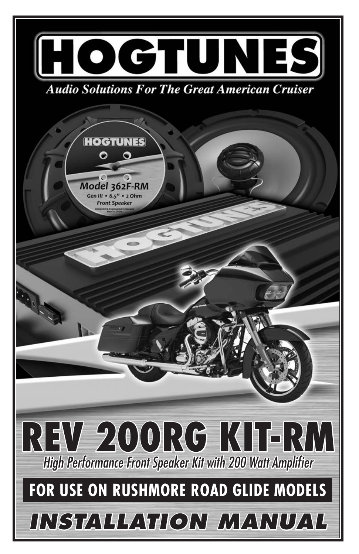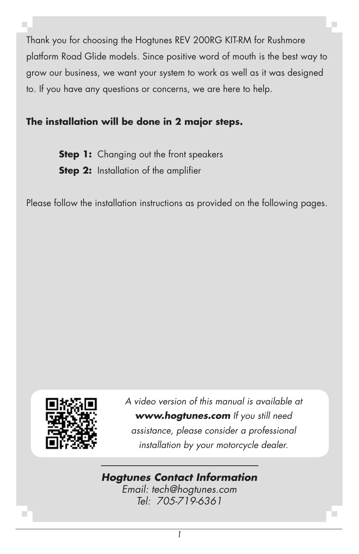Thank you for choosing the Hogtunes REV 200RG KIT-RM for Rushmore platform Road Glide models. Since positive word of mouth is the best way to grow our business, we want your system to work as well as it was designed to. If you have any questions or concerns, we are here to help.

# **The installation will be done in 2 major steps.**

**Step 1:** Changing out the front speakers **Step 2:** Installation of the amplifier

Please follow the installation instructions as provided on the following pages.



*A video version of this manual is available at www.hogtunes.com If you still need assistance, please consider a professional installation by your motorcycle dealer.*

### *Hogtunes Contact Information*

*Email: tech@hogtunes.com Tel: 705-719-6361*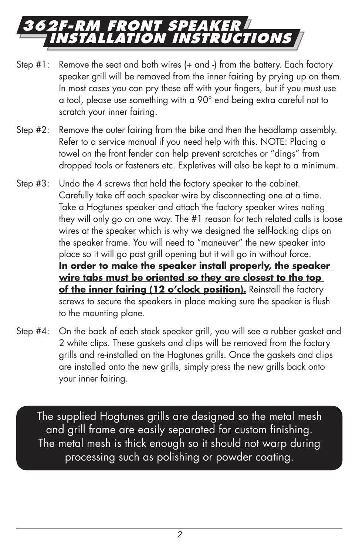# **362F-RM Front Speaker Installation Instructions**

- Step #1: Remove the seat and both wires (+ and -) from the battery. Each factory speaker grill will be removed from the inner fairing by prying up on them. In most cases you can pry these off with your fingers, but if you must use a tool, please use something with a 90° end being extra careful not to scratch your inner fairing.
- Step #2: Remove the outer fairing from the bike and then the headlamp assembly. Refer to a service manual if you need help with this. NOTE: Placing a towel on the front fender can help prevent scratches or "dings" from dropped tools or fasteners etc. Expletives will also be kept to a minimum.
- Step #3: Undo the 4 screws that hold the factory speaker to the cabinet. Carefully take off each speaker wire by disconnecting one at a time. Take a Hogtunes speaker and attach the factory speaker wires noting they will only go on one way. The #1 reason for tech related calls is loose wires at the speaker which is why we designed the self-locking clips on the speaker frame. You will need to "maneuver" the new speaker into place so it will go past grill opening but it will go in without force. **In order to make the speaker install properly, the speaker wire tabs must be oriented so they are closest to the top**  of the inner fairing (12 o'clock position). Reinstall the factory screws to secure the speakers in place making sure the speaker is flush to the mounting plane.
- Step #4: On the back of each stock speaker grill, you will see a rubber gasket and 2 white clips. These gaskets and clips will be removed from the factory grills and re-installed on the Hogtunes grills. Once the gaskets and clips are installed onto the new grills, simply press the new grills back onto your inner fairing.

The supplied Hogtunes grills are designed so the metal mesh and grill frame are easily separated for custom finishing. The metal mesh is thick enough so it should not warp during processing such as polishing or powder coating.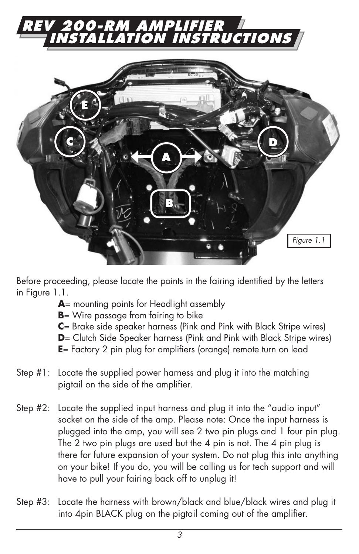



Before proceeding, please locate the points in the fairing identified by the letters in Figure 1.1.

- **A**= mounting points for Headlight assembly
- **B**= Wire passage from fairing to bike
- **C**= Brake side speaker harness (Pink and Pink with Black Stripe wires)
- **D**= Clutch Side Speaker harness (Pink and Pink with Black Stripe wires)
- **E**= Factory 2 pin plug for amplifiers (orange) remote turn on lead
- Step #1: Locate the supplied power harness and plug it into the matching pigtail on the side of the amplifier.
- Step #2: Locate the supplied input harness and plug it into the "audio input" socket on the side of the amp. Please note: Once the input harness is plugged into the amp, you will see 2 two pin plugs and 1 four pin plug. The 2 two pin plugs are used but the 4 pin is not. The 4 pin plug is there for future expansion of your system. Do not plug this into anything on your bike! If you do, you will be calling us for tech support and will have to pull your fairing back off to unplug it!
- Step #3: Locate the harness with brown/black and blue/black wires and plug it into 4pin BLACK plug on the pigtail coming out of the amplifier.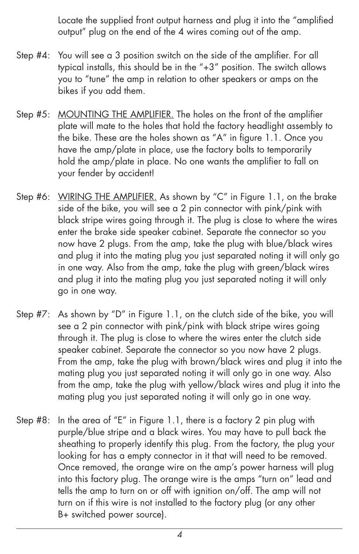Locate the supplied front output harness and plug it into the "amplified output" plug on the end of the 4 wires coming out of the amp.

- Step #4: You will see a 3 position switch on the side of the amplifier. For all typical installs, this should be in the "+3" position. The switch allows you to "tune" the amp in relation to other speakers or amps on the bikes if you add them.
- Step #5: MOUNTING THE AMPLIFIER. The holes on the front of the amplifier plate will mate to the holes that hold the factory headlight assembly to the bike. These are the holes shown as "A" in figure 1.1. Once you have the amp/plate in place, use the factory bolts to temporarily hold the amp/plate in place. No one wants the amplifier to fall on your fender by accident!
- Step #6: WIRING THE AMPLIFIER. As shown by "C" in Figure 1.1, on the brake side of the bike, you will see a 2 pin connector with pink/pink with black stripe wires going through it. The plug is close to where the wires enter the brake side speaker cabinet. Separate the connector so you now have 2 plugs. From the amp, take the plug with blue/black wires and plug it into the mating plug you just separated noting it will only go in one way. Also from the amp, take the plug with green/black wires and plug it into the mating plug you just separated noting it will only go in one way.
- Step #7: As shown by "D" in Figure 1.1, on the clutch side of the bike, you will see a 2 pin connector with pink/pink with black stripe wires going through it. The plug is close to where the wires enter the clutch side speaker cabinet. Separate the connector so you now have 2 plugs. From the amp, take the plug with brown/black wires and plug it into the mating plug you just separated noting it will only go in one way. Also from the amp, take the plug with yellow/black wires and plug it into the mating plug you just separated noting it will only go in one way.
- Step #8: In the area of "E" in Figure 1.1, there is a factory 2 pin plug with purple/blue stripe and a black wires. You may have to pull back the sheathing to properly identify this plug. From the factory, the plug your looking for has a empty connector in it that will need to be removed. Once removed, the orange wire on the amp's power harness will plug into this factory plug. The orange wire is the amps "turn on" lead and tells the amp to turn on or off with ignition on/off. The amp will not turn on if this wire is not installed to the factory plug (or any other B+ switched power source).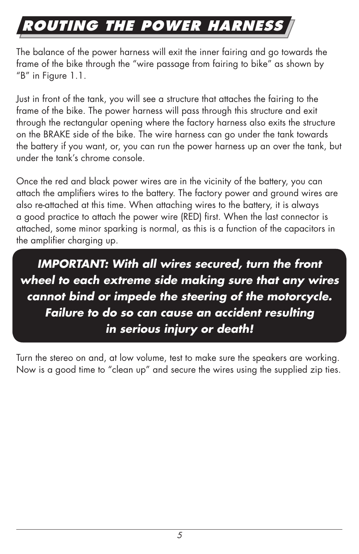# **routing the power harness**

The balance of the power harness will exit the inner fairing and go towards the frame of the bike through the "wire passage from fairing to bike" as shown by "B" in Figure 1.1.

Just in front of the tank, you will see a structure that attaches the fairing to the frame of the bike. The power harness will pass through this structure and exit through the rectangular opening where the factory harness also exits the structure on the BRAKE side of the bike. The wire harness can go under the tank towards the battery if you want, or, you can run the power harness up an over the tank, but under the tank's chrome console.

Once the red and black power wires are in the vicinity of the battery, you can attach the amplifiers wires to the battery. The factory power and ground wires are also re-attached at this time. When attaching wires to the battery, it is always a good practice to attach the power wire (RED) first. When the last connector is attached, some minor sparking is normal, as this is a function of the capacitors in the amplifier charging up.

*IMPORTANT: With all wires secured, turn the front wheel to each extreme side making sure that any wires cannot bind or impede the steering of the motorcycle. Failure to do so can cause an accident resulting in serious injury or death!*

Turn the stereo on and, at low volume, test to make sure the speakers are working. Now is a good time to "clean up" and secure the wires using the supplied zip ties.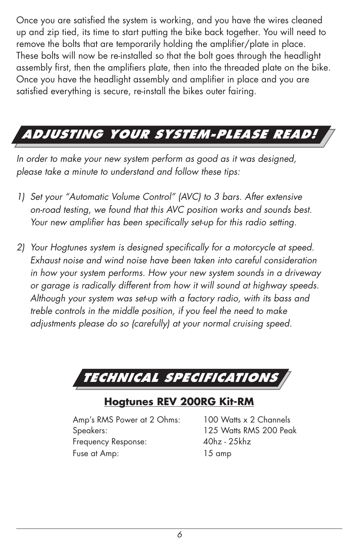Once you are satisfied the system is working, and you have the wires cleaned up and zip tied, its time to start putting the bike back together. You will need to remove the bolts that are temporarily holding the amplifier/plate in place. These bolts will now be re-installed so that the bolt goes through the headlight assembly first, then the amplifiers plate, then into the threaded plate on the bike. Once you have the headlight assembly and amplifier in place and you are satisfied everything is secure, re-install the bikes outer fairing.

# *Adjusting Your System-Please Read!*

*In order to make your new system perform as good as it was designed, please take a minute to understand and follow these tips:*

- *1) Set your "Automatic Volume Control" (AVC) to 3 bars. After extensive on-road testing, we found that this AVC position works and sounds best. Your new amplifier has been specifically set-up for this radio setting.*
- *2) Your Hogtunes system is designed specifically for a motorcycle at speed. Exhaust noise and wind noise have been taken into careful consideration in how your system performs. How your new system sounds in a driveway or garage is radically different from how it will sound at highway speeds. Although your system was set-up with a factory radio, with its bass and treble controls in the middle position, if you feel the need to make adjustments please do so (carefully) at your normal cruising speed.*

*Technical Specifications*

# **Hogtunes REV 200RG Kit-RM**

 Amp's RMS Power at 2 Ohms: 100 Watts x 2 Channels Speakers: 125 Watts RMS 200 Peak Frequency Response: 40hz - 25khz Fuse at Amp: 15 amp